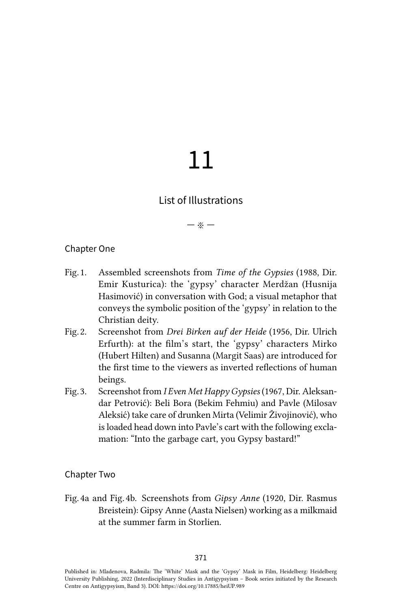# 11

# List of Illustrations

— ※ —

#### Chapter One

- Fig. 1. Assembled screenshots from *Time of the Gypsies* (1988, Dir. Emir Kusturica): the 'gypsy' character Merdžan (Husnija Hasimović) in conversation with God; a visual metaphor that conveys the symbolic position of the 'gypsy' in relation to the Christian deity.
- Fig. 2. Screenshot from *Drei Birken auf der Heide* (1956, Dir. Ulrich Erfurth): at the film's start, the 'gypsy' characters Mirko (Hubert Hilten) and Susanna (Margit Saas) are introduced for the first time to the viewers as inverted reflections of human beings.
- Fig. 3. Screenshot from *I Even Met Happy Gypsies* (1967, Dir. Aleksandar Petrović): Beli Bora (Bekim Fehmiu) and Pavle (Milosav Aleksić) take care of drunken Mirta (Velimir Živojinović), who is loaded head down into Pavle's cart with the following exclamation: "Into the garbage cart, you Gypsy bastard!"

#### Chapter Two

Fig. 4a and Fig. 4b. Screenshots from *Gipsy Anne* (1920, Dir. Rasmus Breistein): Gipsy Anne (Aasta Nielsen) working as a milkmaid at the summer farm in Storlien.

Published in: Mladenova, Radmila: The 'White' Mask and the 'Gypsy' Mask in Film, Heidelberg: Heidelberg University Publishing, 2022 (Interdisciplinary Studies in Antigypsyism – Book series initiated by the Research Centre on Antigypsyism, Band 3). DOI:<https://doi.org/10.17885/heiUP.989>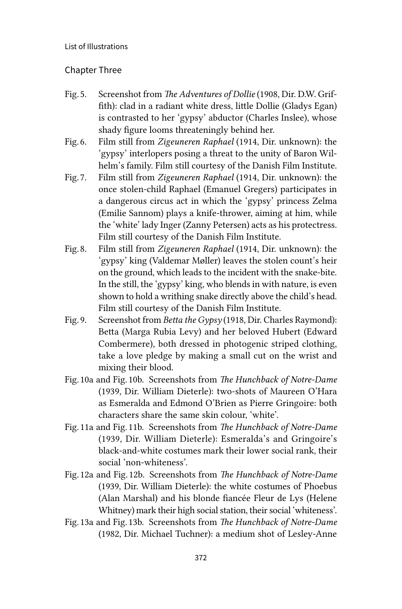#### Chapter Three

- Fig. 5. Screenshot from *The Adventures of Dollie* (1908, Dir. D.W. Griffith): clad in a radiant white dress, little Dollie (Gladys Egan) is contrasted to her 'gypsy' abductor (Charles Inslee), whose shady figure looms threateningly behind her.
- Fig. 6. Film still from *Zigeuneren Raphael* (1914, Dir. unknown): the 'gypsy' interlopers posing a threat to the unity of Baron Wilhelm's family. Film still courtesy of the Danish Film Institute.
- Fig. 7. Film still from *Zigeuneren Raphael* (1914, Dir. unknown): the once stolen-child Raphael (Emanuel Gregers) participates in a dangerous circus act in which the 'gypsy' princess Zelma (Emilie Sannom) plays a knife-thrower, aiming at him, while the 'white' lady Inger (Zanny Petersen) acts as his protectress. Film still courtesy of the Danish Film Institute.
- Fig. 8. Film still from *Zigeuneren Raphael* (1914, Dir. unknown): the 'gypsy' king (Valdemar Møller) leaves the stolen count's heir on the ground, which leads to the incident with the snake-bite. In the still, the 'gypsy' king, who blends in with nature, is even shown to hold a writhing snake directly above the child's head. Film still courtesy of the Danish Film Institute.
- Fig. 9. Screenshot from *Betta the Gypsy* (1918, Dir. Charles Raymond): Betta (Marga Rubia Levy) and her beloved Hubert (Edward Combermere), both dressed in photogenic striped clothing, take a love pledge by making a small cut on the wrist and mixing their blood.
- Fig. 10a and Fig. 10b. Screenshots from *The Hunchback of Notre-Dame* (1939, Dir. William Dieterle): two-shots of Maureen O'Hara as Esmeralda and Edmond O'Brien as Pierre Gringoire: both characters share the same skin colour, 'white'.
- Fig. 11a and Fig. 11b. Screenshots from *The Hunchback of Notre-Dame* (1939, Dir. William Dieterle): Esmeralda's and Gringoire's black-and-white costumes mark their lower social rank, their social 'non-whiteness'.
- Fig. 12a and Fig. 12b. Screenshots from *The Hunchback of Notre-Dame* (1939, Dir. William Dieterle): the white costumes of Phoebus (Alan Marshal) and his blonde fiancée Fleur de Lys (Helene Whitney) mark their high social station, their social 'whiteness'.
- Fig. 13a and Fig. 13b. Screenshots from *The Hunchback of Notre-Dame* (1982, Dir. Michael Tuchner): a medium shot of Lesley-Anne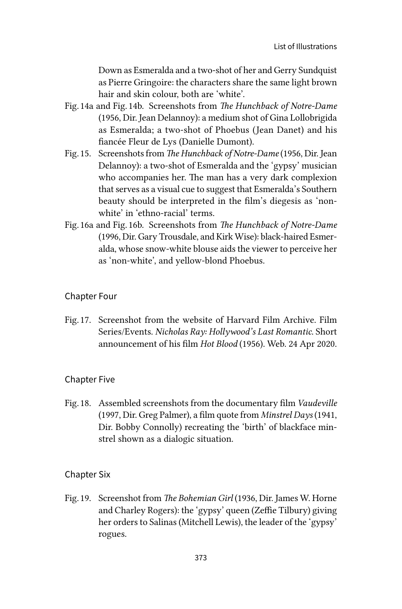Down as Esmeralda and a two-shot of her and Gerry Sundquist as Pierre Gringoire: the characters share the same light brown hair and skin colour, both are 'white'.

- Fig. 14a and Fig. 14b. Screenshots from *The Hunchback of Notre-Dame* (1956, Dir. Jean Delannoy): a medium shot of Gina Lollobrigida as Esmeralda; a two-shot of Phoebus (Jean Danet) and his fiancée Fleur de Lys (Danielle Dumont).
- Fig. 15. Screenshots from *The Hunchback of Notre-Dame* (1956, Dir. Jean Delannoy): a two-shot of Esmeralda and the 'gypsy' musician who accompanies her. The man has a very dark complexion that serves as a visual cue to suggest that Esmeralda's Southern beauty should be interpreted in the film's diegesis as 'nonwhite' in 'ethno-racial' terms.
- Fig. 16a and Fig. 16b. Screenshots from *The Hunchback of Notre-Dame* (1996, Dir. Gary Trousdale, and Kirk Wise): black-haired Esmeralda, whose snow-white blouse aids the viewer to perceive her as 'non-white', and yellow-blond Phoebus.

# Chapter Four

Fig. 17. Screenshot from the website of Harvard Film Archive. Film Series/Events. *Nicholas Ray: Hollywood's Last Romantic*. Short announcement of his film *Hot Blood* (1956). Web. 24 Apr 2020.

# Chapter Five

Fig. 18. Assembled screenshots from the documentary film *Vaudeville* (1997, Dir. Greg Palmer), a film quote from *Minstrel Days* (1941, Dir. Bobby Connolly) recreating the 'birth' of blackface minstrel shown as a dialogic situation.

# Chapter Six

Fig. 19. Screenshot from *The Bohemian Girl* (1936, Dir. James W. Horne and Charley Rogers): the 'gypsy' queen (Zeffie Tilbury) giving her orders to Salinas (Mitchell Lewis), the leader of the 'gypsy' rogues.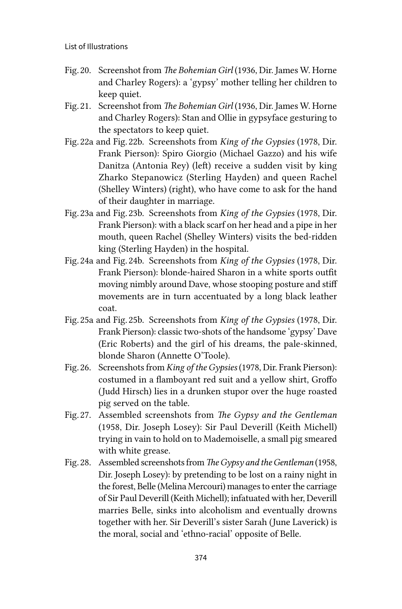- Fig. 20. Screenshot from *The Bohemian Girl* (1936, Dir. James W. Horne and Charley Rogers): a 'gypsy' mother telling her children to keep quiet.
- Fig. 21. Screenshot from *The Bohemian Girl* (1936, Dir. James W. Horne and Charley Rogers): Stan and Ollie in gypsyface gesturing to the spectators to keep quiet.
- Fig. 22a and Fig. 22b. Screenshots from *King of the Gypsies* (1978, Dir. Frank Pierson): Spiro Giorgio (Michael Gazzo) and his wife Danitza (Antonia Rey) (left) receive a sudden visit by king Zharko Stepanowicz (Sterling Hayden) and queen Rachel (Shelley Winters) (right), who have come to ask for the hand of their daughter in marriage.
- Fig. 23a and Fig. 23b. Screenshots from *King of the Gypsies* (1978, Dir. Frank Pierson): with a black scarf on her head and a pipe in her mouth, queen Rachel (Shelley Winters) visits the bed-ridden king (Sterling Hayden) in the hospital.
- Fig. 24a and Fig. 24b. Screenshots from *King of the Gypsies* (1978, Dir. Frank Pierson): blonde-haired Sharon in a white sports outfit moving nimbly around Dave, whose stooping posture and stiff movements are in turn accentuated by a long black leather coat.
- Fig. 25a and Fig. 25b. Screenshots from *King of the Gypsies* (1978, Dir. Frank Pierson): classic two-shots of the handsome 'gypsy' Dave (Eric Roberts) and the girl of his dreams, the pale-skinned, blonde Sharon (Annette O'Toole).
- Fig. 26. Screenshots from *King of the Gypsies* (1978, Dir. Frank Pierson): costumed in a flamboyant red suit and a yellow shirt, Groffo (Judd Hirsch) lies in a drunken stupor over the huge roasted pig served on the table.
- Fig. 27. Assembled screenshots from *The Gypsy and the Gentleman* (1958, Dir. Joseph Losey): Sir Paul Deverill (Keith Michell) trying in vain to hold on to Mademoiselle, a small pig smeared with white grease.
- Fig. 28. Assembled screenshots from *The Gypsy and the Gentleman* (1958, Dir. Joseph Losey): by pretending to be lost on a rainy night in the forest, Belle (Melina Mercouri) manages to enter the carriage of Sir Paul Deverill (Keith Michell); infatuated with her, Deverill marries Belle, sinks into alcoholism and eventually drowns together with her. Sir Deverill's sister Sarah (June Laverick) is the moral, social and 'ethno-racial' opposite of Belle.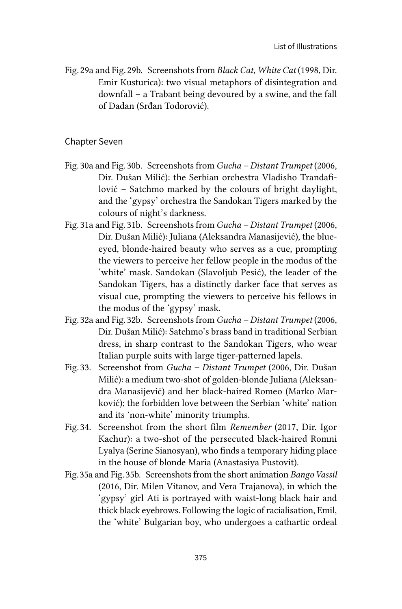Fig. 29a and Fig. 29b. Screenshots from *Black Cat, White Cat* (1998, Dir. Emir Kusturica): two visual metaphors of disintegration and downfall – a Trabant being devoured by a swine, and the fall of Dadan (Srđan Todorović).

#### Chapter Seven

- Fig. 30a and Fig. 30b. Screenshots from *Gucha Distant Trumpet* (2006, Dir. Dušan Milić): the Serbian orchestra Vladisho Trandafilović – Satchmo marked by the colours of bright daylight, and the 'gypsy' orchestra the Sandokan Tigers marked by the colours of night's darkness.
- Fig. 31a and Fig. 31b. Screenshots from *Gucha Distant Trumpet* (2006, Dir. Dušan Milić): Juliana (Aleksandra Manasijević), the blueeyed, blonde-haired beauty who serves as a cue, prompting the viewers to perceive her fellow people in the modus of the 'white' mask. Sandokan (Slavoljub Pesić), the leader of the Sandokan Tigers, has a distinctly darker face that serves as visual cue, prompting the viewers to perceive his fellows in the modus of the 'gypsy' mask.
- Fig. 32a and Fig. 32b. Screenshots from *Gucha Distant Trumpet* (2006, Dir. Dušan Milić): Satchmo's brass band in traditional Serbian dress, in sharp contrast to the Sandokan Tigers, who wear Italian purple suits with large tiger-patterned lapels.
- Fig. 33. Screenshot from *Gucha Distant Trumpet* (2006, Dir. Dušan Milić): a medium two-shot of golden-blonde Juliana (Aleksandra Manasijević) and her black-haired Romeo (Marko Marković); the forbidden love between the Serbian 'white' nation and its 'non-white' minority triumphs.
- Fig. 34. Screenshot from the short film *Remember* (2017, Dir. Igor Kachur): a two-shot of the persecuted black-haired Romni Lyalya (Serine Sianosyan), who finds a temporary hiding place in the house of blonde Maria (Anastasiya Pustovit).
- Fig. 35a and Fig. 35b. Screenshots from the short animation *Bango Vassil* (2016, Dir. Milen Vitanov, and Vera Trajanova), in which the 'gypsy' girl Ati is portrayed with waist-long black hair and thick black eyebrows. Following the logic of racialisation, Emil, the 'white' Bulgarian boy, who undergoes a cathartic ordeal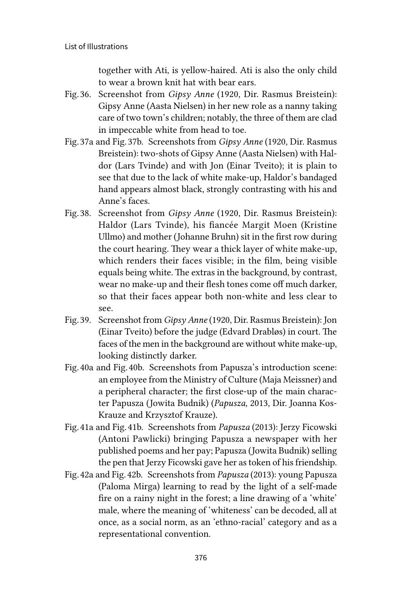together with Ati, is yellow-haired. Ati is also the only child to wear a brown knit hat with bear ears.

- Fig. 36. Screenshot from *Gipsy Anne* (1920, Dir. Rasmus Breistein): Gipsy Anne (Aasta Nielsen) in her new role as a nanny taking care of two town's children; notably, the three of them are clad in impeccable white from head to toe.
- Fig. 37a and Fig. 37b. Screenshots from *Gipsy Anne* (1920, Dir. Rasmus Breistein): two-shots of Gipsy Anne (Aasta Nielsen) with Haldor (Lars Tvinde) and with Jon (Einar Tveito); it is plain to see that due to the lack of white make-up, Haldor's bandaged hand appears almost black, strongly contrasting with his and Anne's faces.
- Fig. 38. Screenshot from *Gipsy Anne* (1920, Dir. Rasmus Breistein): Haldor (Lars Tvinde), his fiancée Margit Moen (Kristine Ullmo) and mother (Johanne Bruhn) sit in the first row during the court hearing. They wear a thick layer of white make-up, which renders their faces visible; in the film, being visible equals being white. The extras in the background, by contrast, wear no make-up and their flesh tones come off much darker, so that their faces appear both non-white and less clear to see.
- Fig. 39. Screenshot from *Gipsy Anne* (1920, Dir. Rasmus Breistein): Jon (Einar Tveito) before the judge (Edvard Drabløs) in court. The faces of the men in the background are without white make-up, looking distinctly darker.
- Fig. 40a and Fig. 40b. Screenshots from Papusza's introduction scene: an employee from the Ministry of Culture (Maja Meissner) and a peripheral character; the first close-up of the main character Papusza (Jowita Budnik) (*Papusza,* 2013, Dir. Joanna Kos-Krauze and Krzysztof Krauze).
- Fig. 41a and Fig. 41b. Screenshots from *Papusza* (2013): Jerzy Ficowski (Antoni Pawlicki) bringing Papusza a newspaper with her published poems and her pay; Papusza (Jowita Budnik) selling the pen that Jerzy Ficowski gave her as token of his friendship.
- Fig. 42a and Fig. 42b. Screenshots from *Papusza* (2013): young Papusza (Paloma Mirga) learning to read by the light of a self-made fire on a rainy night in the forest; a line drawing of a 'white' male, where the meaning of 'whiteness' can be decoded, all at once, as a social norm, as an 'ethno-racial' category and as a representational convention.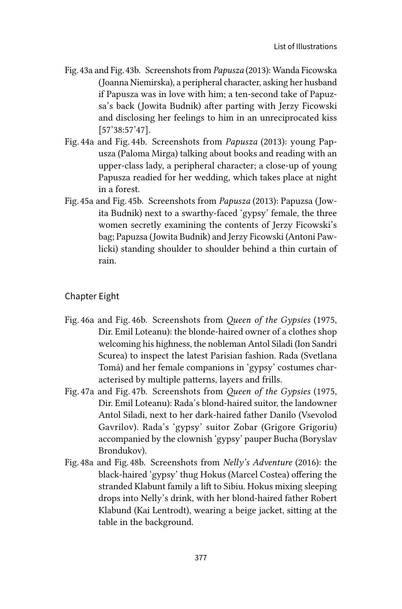- Fig. 43a and Fig. 43b. Screenshots from *Papusza* (2013): Wanda Ficowska (Joanna Niemirska), a peripheral character, asking her husband if Papusza was in love with him; a ten-second take of Papuzsa's back (Jowita Budnik) after parting with Jerzy Ficowski and disclosing her feelings to him in an unreciprocated kiss [57'38:57'47].
- Fig. 44a and Fig. 44b. Screenshots from *Papusza* (2013): young Papusza (Paloma Mirga) talking about books and reading with an upper-class lady, a peripheral character; a close-up of young Papusza readied for her wedding, which takes place at night in a forest.
- Fig. 45a and Fig. 45b. Screenshots from *Papusza* (2013): Papuzsa (Jowita Budnik) next to a swarthy-faced 'gypsy' female, the three women secretly examining the contents of Jerzy Ficowski's bag; Papuzsa (Jowita Budnik) and Jerzy Ficowski (Antoni Pawlicki) standing shoulder to shoulder behind a thin curtain of rain.

# Chapter Eight

- Fig. 46a and Fig. 46b. Screenshots from *Queen of the Gypsies* (1975, Dir. Emil Loteanu): the blonde-haired owner of a clothes shop welcoming his highness, the nobleman Antol Siladi (Ion Sandri Scurea) to inspect the latest Parisian fashion. Rada (Svetlana Tomá) and her female companions in 'gypsy' costumes characterised by multiple patterns, layers and frills.
- Fig. 47a and Fig. 47b. Screenshots from *Queen of the Gypsies* (1975, Dir. Emil Loteanu): Rada's blond-haired suitor, the landowner Antol Siladi, next to her dark-haired father Danilo (Vsevolod Gavrilov). Rada's 'gypsy' suitor Zobar (Grigore Grigoriu) accompanied by the clownish 'gypsy' pauper Bucha (Boryslav Brondukov).
- Fig. 48a and Fig. 48b. Screenshots from *Nelly's Adventure* (2016): the black-haired 'gypsy' thug Hokus (Marcel Costea) offering the stranded Klabunt family a lift to Sibiu. Hokus mixing sleeping drops into Nelly's drink, with her blond-haired father Robert Klabund (Kai Lentrodt), wearing a beige jacket, sitting at the table in the background.